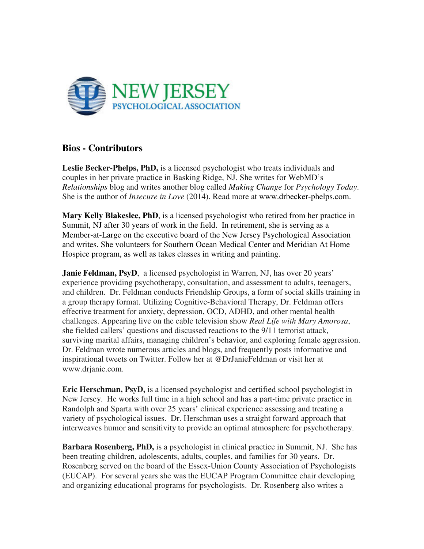

## **Bios - Contributors**

**Leslie Becker-Phelps, PhD,** is a licensed psychologist who treats individuals and couples in her private practice in Basking Ridge, NJ. She writes for WebMD's *Relationships* blog and writes another blog called *Making Change* for *Psychology Today*. She is the author of *Insecure in Love* (2014). Read more at www.drbecker-phelps.com.

**Mary Kelly Blakeslee, PhD**, is a licensed psychologist who retired from her practice in Summit, NJ after 30 years of work in the field. In retirement, she is serving as a Member-at-Large on the executive board of the New Jersey Psychological Association and writes. She volunteers for Southern Ocean Medical Center and Meridian At Home Hospice program, as well as takes classes in writing and painting.

**Janie Feldman, PsyD**, a licensed psychologist in Warren, NJ, has over 20 years' experience providing psychotherapy, consultation, and assessment to adults, teenagers, and children. Dr. Feldman conducts Friendship Groups, a form of social skills training in a group therapy format. Utilizing Cognitive-Behavioral Therapy, Dr. Feldman offers effective treatment for anxiety, depression, OCD, ADHD, and other mental health challenges. Appearing live on the cable television show *Real Life with Mary Amorosa*, she fielded callers' questions and discussed reactions to the 9/11 terrorist attack, surviving marital affairs, managing children's behavior, and exploring female aggression. Dr. Feldman wrote numerous articles and blogs, and frequently posts informative and inspirational tweets on Twitter. Follow her at @DrJanieFeldman or visit her at www.drjanie.com.

**Eric Herschman, PsyD,** is a licensed psychologist and certified school psychologist in New Jersey. He works full time in a high school and has a part-time private practice in Randolph and Sparta with over 25 years' clinical experience assessing and treating a variety of psychological issues. Dr. Herschman uses a straight forward approach that interweaves humor and sensitivity to provide an optimal atmosphere for psychotherapy.

**Barbara Rosenberg, PhD,** is a psychologist in clinical practice in Summit, NJ. She has been treating children, adolescents, adults, couples, and families for 30 years. Dr. Rosenberg served on the board of the Essex-Union County Association of Psychologists (EUCAP). For several years she was the EUCAP Program Committee chair developing and organizing educational programs for psychologists. Dr. Rosenberg also writes a